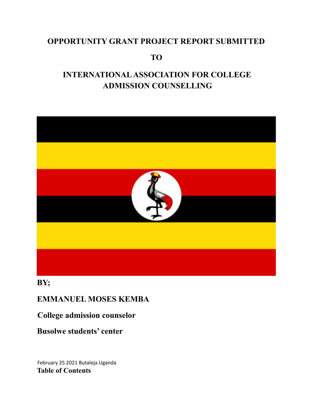## **OPPORTUNITY GRANT PROJECT REPORT SUBMITTED**

**TO**

# **INTERNATIONALASSOCIATION FOR COLLEGE ADMISSION COUNSELLING**



## **BY;**

## **EMMANUEL MOSES KEMBA**

## **College admission counselor**

# **Busolwe students' center**

February 25 2021 Butaleja Uganda **Table of Contents**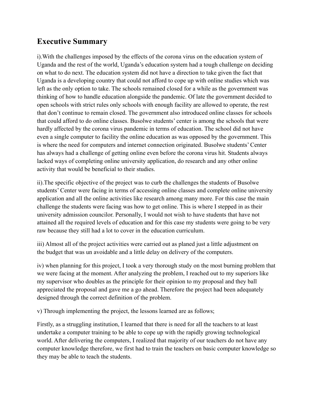## **Executive Summary**

i).With the challenges imposed by the effects of the corona virus on the education system of Uganda and the rest of the world, Uganda's education system had a tough challenge on deciding on what to do next. The education system did not have a direction to take given the fact that Uganda is a developing country that could not afford to cope up with online studies which was left as the only option to take. The schools remained closed for a while as the government was thinking of how to handle education alongside the pandemic. Of late the government decided to open schools with strict rules only schools with enough facility are allowed to operate, the rest that don't continue to remain closed. The government also introduced online classes for schools that could afford to do online classes. Busolwe students' center is among the schools that were hardly affected by the corona virus pandemic in terms of education. The school did not have even a single computer to facility the online education as was opposed by the government. This is where the need for computers and internet connection originated. Busolwe students' Center has always had a challenge of getting online even before the corona virus hit. Students always lacked ways of completing online university application, do research and any other online activity that would be beneficial to their studies.

ii).The specific objective of the project was to curb the challenges the students of Busolwe students' Center were facing in terms of accessing online classes and complete online university application and all the online activities like research among many more. For this case the main challenge the students were facing was how to get online. This is where I stepped in as their university admission councilor. Personally, I would not wish to have students that have not attained all the required levels of education and for this case my students were going to be very raw because they still had a lot to cover in the education curriculum.

iii) Almost all of the project activities were carried out as planed just a little adjustment on the budget that was un avoidable and a little delay on delivery of the computers.

iv) when planning for this project, I took a very thorough study on the most burning problem that we were facing at the moment. After analyzing the problem, I reached out to my superiors like my supervisor who doubles as the principle for their opinion to my proposal and they ball appreciated the proposal and gave me a go ahead. Therefore the project had been adequately designed through the correct definition of the problem.

v) Through implementing the project, the lessons learned are as follows;

Firstly, as a struggling institution, I learned that there is need for all the teachers to at least undertake a computer training to be able to cope up with the rapidly growing technological world. After delivering the computers, I realized that majority of our teachers do not have any computer knowledge therefore, we first had to train the teachers on basic computer knowledge so they may be able to teach the students.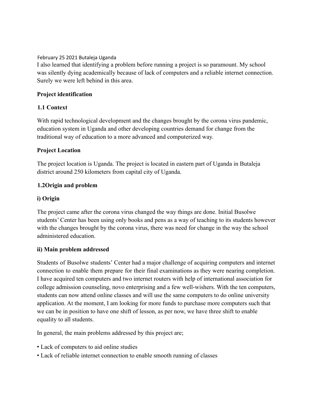#### February 25 2021 Butaleja Uganda

I also learned that identifying a problem before running a project is so paramount. My school was silently dying academically because of lack of computers and a reliable internet connection. Surely we were left behind in this area.

## **Project identification**

## **1.1 Context**

With rapid technological development and the changes brought by the corona virus pandemic, education system in Uganda and other developing countries demand for change from the traditional way of education to a more advanced and computerized way.

## **Project Location**

The project location is Uganda. The project is located in eastern part of Uganda in Butaleja district around 250 kilometers from capital city of Uganda.

## **1.2Origin and problem**

## **i) Origin**

The project came after the corona virus changed the way things are done. Initial Busolwe students' Center has been using only books and pens as a way of teaching to its students however with the changes brought by the corona virus, there was need for change in the way the school administered education.

## **ii) Main problem addressed**

Students of Busolwe students' Center had a major challenge of acquiring computers and internet connection to enable them prepare for their final examinations as they were nearing completion. I have acquired ten computers and two internet routers with help of international association for college admission counseling, novo enterprising and a few well-wishers. With the ten computers, students can now attend online classes and will use the same computers to do online university application. At the moment, I am looking for more funds to purchase more computers such that we can be in position to have one shift of lesson, as per now, we have three shift to enable equality to all students.

In general, the main problems addressed by this project are;

- Lack of computers to aid online studies
- Lack of reliable internet connection to enable smooth running of classes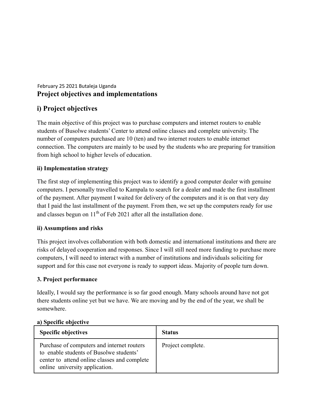## February 25 2021 Butaleja Uganda **Project objectives and implementations**

## **i) Project objectives**

The main objective of this project was to purchase computers and internet routers to enable students of Busolwe students' Center to attend online classes and complete university. The number of computers purchased are 10 (ten) and two internet routers to enable internet connection. The computers are mainly to be used by the students who are preparing for transition from high school to higher levels of education.

## **ii) Implementation strategy**

The first step of implementing this project was to identify a good computer dealer with genuine computers. I personally travelled to Kampala to search for a dealer and made the first installment of the payment. After payment I waited for delivery of the computers and it is on that very day that I paid the last installment of the payment. From then, we set up the computers ready for use and classes begun on  $11<sup>th</sup>$  of Feb 2021 after all the installation done.

## **ii) Assumptions and risks**

This project involves collaboration with both domestic and international institutions and there are risks of delayed cooperation and responses. Since I will still need more funding to purchase more computers, I will need to interact with a number of institutions and individuals soliciting for support and for this case not everyone is ready to support ideas. Majority of people turn down.

## **3. Project performance**

Ideally, I would say the performance is so far good enough. Many schools around have not got there students online yet but we have. We are moving and by the end of the year, we shall be somewhere.

| <b>Specific objectives</b>                                                                                                                                              | <b>Status</b>     |
|-------------------------------------------------------------------------------------------------------------------------------------------------------------------------|-------------------|
| Purchase of computers and internet routers<br>to enable students of Busolwe students'<br>center to attend online classes and complete<br>online university application. | Project complete. |

## **a) Specific objective**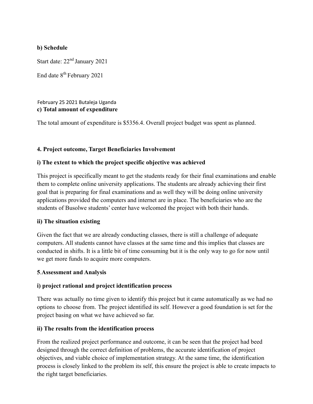## **b) Schedule**

Start date: 22<sup>nd</sup> January 2021

End date 8<sup>th</sup> February 2021

#### February 25 2021 Butaleja Uganda **c) Total amount of expenditure**

The total amount of expenditure is \$5356.4. Overall project budget was spent as planned.

## **4. Project outcome, Target Beneficiaries Involvement**

## **i) The extent to which the project specific objective was achieved**

This project is specifically meant to get the students ready for their final examinations and enable them to complete online university applications. The students are already achieving their first goal that is preparing for final examinations and as well they will be doing online university applications provided the computers and internet are in place. The beneficiaries who are the students of Busolwe students' center have welcomed the project with both their hands.

## **ii) The situation existing**

Given the fact that we are already conducting classes, there is still a challenge of adequate computers. All students cannot have classes at the same time and this implies that classes are conducted in shifts. It is a little bit of time consuming but it is the only way to go for now until we get more funds to acquire more computers.

## **5**.**Assessment and Analysis**

## **i) project rational and project identification process**

There was actually no time given to identify this project but it came automatically as we had no options to choose from. The project identified its self. However a good foundation is set for the project basing on what we have achieved so far.

## **ii) The results from the identification process**

From the realized project performance and outcome, it can be seen that the project had beed designed through the correct definition of problems, the accurate identification of project objectives, and viable choice of implementation strategy. At the same time, the identification process is closely linked to the problem its self, this ensure the project is able to create impacts to the right target beneficiaries.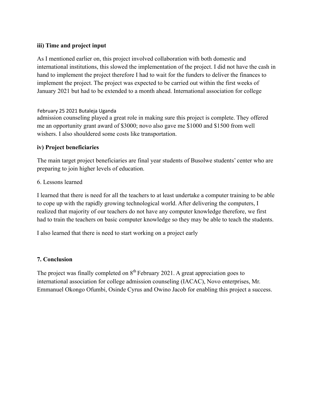## **iii) Time and project input**

As I mentioned earlier on, this project involved collaboration with both domestic and international institutions, this slowed the implementation of the project. I did not have the cash in hand to implement the project therefore I had to wait for the funders to deliver the finances to implement the project. The project was expected to be carried out within the first weeks of January 2021 but had to be extended to a month ahead. International association for college

## February 25 2021 Butaleja Uganda

admission counseling played a great role in making sure this project is complete. They offered me an opportunity grant award of \$3000; novo also gave me \$1000 and \$1500 from well wishers. I also shouldered some costs like transportation.

## **iv) Project beneficiaries**

The main target project beneficiaries are final year students of Busolwe students' center who are preparing to join higher levels of education.

#### 6. Lessons learned

I learned that there is need for all the teachers to at least undertake a computer training to be able to cope up with the rapidly growing technological world. After delivering the computers, I realized that majority of our teachers do not have any computer knowledge therefore, we first had to train the teachers on basic computer knowledge so they may be able to teach the students.

I also learned that there is need to start working on a project early

## **7. Conclusion**

The project was finally completed on  $8<sup>th</sup>$  February 2021. A great appreciation goes to international association for college admission counseling (IACAC), Novo enterprises, Mr. Emmanuel Okongo Ofumbi, Osinde Cyrus and Owino Jacob for enabling this project a success.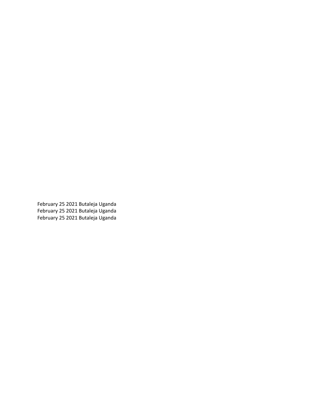February 25 2021 Butaleja Uganda February 25 2021 Butaleja Uganda February 25 2021 Butaleja Uganda